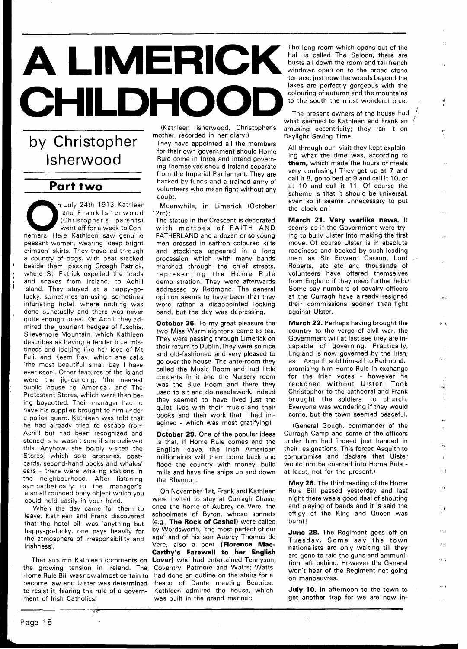## The long room which opens out of the<br>hall is called The Saloon, there are<br>busts all down the room and tall french<br>windows open on to the broad stone<br>lakes are perfectly gorgeous with the **CHILDHO(**

hall is called The Saloon, there are busts all down the room and tall french windows open on to the broad stone terrace, just now the woods beyond the colouring of autumn and the mountains to the south the most wonderul blue.

**f** 

أسرب

ł.  $\pm i$ 

 $11.7$ 

*I* 

The present owners of the house had what seemed to Kathleen and Frank an amusing eccentricity; they ran it on Daylight Saving Time:

All through our visit they kept explaining what the time was, according to **them,** which made the hours of meals very confusing! They get up at 7 and call it 8, go to bed at 9 and call it 10, or at 10 and call it 11. Of course the scheme is that it should be universal, even so it seems unnecessary to put the clock on!

**March 21. Very warlike news.** It seems as if the Government were trying to bully Ulster into making the first move. Of course Ulster is in absolute readiness and backed by such leading men as Sir Edward Carson, Lord Roberts, etc etc and thousands of volunteers have offered themselves from England if they need further help? Some say numbers of cavalry officers at the Curragh have already resigned their commissions sooner than fight against Ulster.

**March 22.** Perhaps having brought the country to the verge of civil war, the Government will at last see they are incapable of governing. Practically, England is now governed by the Irish, as Asquith sold himself to Redmond, promising him Home Rule in exchange for the lrish votes - however he reckoned without Ulster! Took Christopher to the cathedral and Frank brought the soldiers to church. Everyone was wondering if they would come, but the town seemed peaceful.

(General Gough, commander of the Curragh Camp and some of the officers under him had indeed just handed in their resignations. This forced Asquith to compromise and declare that Ulster would not be coerced into Home Rule at least, not for the present.)

**May 26.** The third reading of the Home Rule Bill passed yesterday and last night there was a good deal of shouting and playing of bands and it is said the effigy of the King and Queen was burnt!

**June 28.** The Regiment goes off on Tuesday. Some say the town nationalists are only waiting till they are gone to raid the guns and ammunition left behind. However the General won't hear of the Regiment not going on manoeuvres.

**July 10.** In afternoon to the town to get another trap for we are now in-

by Christopher lsherwood

## **Part two**

**Part two**<br> **0** and Frank Isherwood<br>
(Christopher's parents)<br>
went off for a week to Con-<br>
peasant women, wearing 'deep bright (Christopher's parents) went off for a week to Connemara. Here Kathleen saw genuine crimson' skirts. They travelled through a country of bogs, with peat stacked beside them, passing Croagh Patrick, where St. Patrick expelled the toads and snakes from Ireland, to Achill Island. They stayed at a happy-golucky, sometimes amusing, sometines infuriating hotel, where nothing was done punctually and there was never quite enough to eat. On Achill they admired the Juxuriant hedges of fuschia, Slievemore Mountain, which Kathleen describes as having a tender blue mistiness and looking like her idea of Mt Fuji, and Keem Bay, which she calls 'the most beautiful small bay I have ever seen'. Other features of the island were the jig-dancing, 'the nearest public house to America', and The Protestant Stores, which were then being boycotted. Their manager had to have his supplies brought to him under a police guard. Kathleen was told that he had already tried to escape from Achill but had been recognized and stoned: she wasn't sure if she believed this. Anyhow, she boldly visited the Stores, which sold groceries, postcards, second-hand books and whales' ears - there were whaling stations in the neighbourhood. After listening sympathetically to the manager's a small rounded bony object which you could hold easily in your hand.

When the day came for them to leave. Kathleen and Frank discovered that the hotel bill was 'anything but happy-go-lucky, one pays heavily for the atmosphere of irresponsibility and Irishness'.

That autumn Kathleen comments on the growing tension in Ireland. The Home Rule Bill wasnow almost certain to had done an outline on the stairs for a become law and Ulster was determined fresco of Dante meeting Beatrice. become law and Ulster was determined to resist it, fearing the rule of a govern- Kathleen admired the house, which ment of Irish Catholics. Was built in the grand manner:

ri **L-**

(Kathleen Isherwood, Christopher's mother, recorded in her diary:)

They have appointed all the members for their own government should Home Rule come in force and intend governing themselves should Ireland separate from the Imperial Parliament. They are backed by funds and a trained army of volunteers who mean fight without any doubt.

Meanwhile, in Limerick (October 12th):

The statue in the Crescent is decorated with mottoes of FAITH AND FATHERLAND and a dozen or so young men dressed in saffron coloured kilts and stockings appeared in a long procession which with many bands marched through the chief streets, representing the Home Rule demonstration. They were afterwards addressed by Redmond. The general opinion seems to have been that they were rather a disappointed looking band, but the day was depressing.

**October 26.** To my great pleasure the two Miss Warmleightons came to tea. They were passing through Limerick on their return to Dublin.They were so nice and old-fashioned and very pleased to go over the house. The ante-room they called the Music Room and had little concerts in it and the Nursery room was the Blue Room and there they used to sit and do needlework. Indeed they seemed to have lived just the quiet lives with their music and their books and their work that I had imagined - which was most gratifying!

**October 29.** One of the popular ideas is that, if Home Rule comes and the English leave, the lrish American millionaires will then come back and flood the country with money, build mills and have fine ships up and down the Shannon.

On November 1 st, Frank and Kathleen were invited to stay at Curragh Chase, once the home of Aubrey de Vere, the schoolmate of Byron, whose sonnets (e.g., **The Rock of Cashel)** were called by Wordsworth, 'the most perfect of our age' and of his son Aubrey Thomas de Vere, also a poet **(Florence Mac-Carthy's Farewell to her English Lover)** who had entertained Tennyson, Coventry. Patmore and Watts; Watts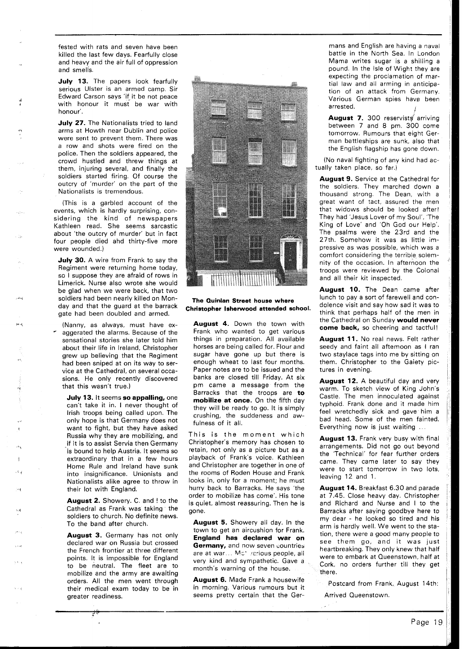fested with rats and seven have been killed the last few days. Fearfully close and heavy and the air full of oppression and smells.

**July 13.** The papers look fearfully serious Ulster is an armed camp. Sir Edward Carson says 'if it be not peace with honour it must be war with honour'.

**July 27.** The Nationalists tried to land arms at Howth near Dublin and police were sent to prevent them. There was a row and shots were fired on the police. Then the soldiers appeared, the crowd hustled and threw things at them, injuring several, and finally the soldiers started firing. Of course the outcry of 'murder' on the part of the Nationalists is tremendous.

(This is a garbled account of the events, which is hardly surprising, considering the kind of newspapers Kathleen read. She seems sarcastic about 'the outcry of murder' but in fact four people died ahd thirty-five more were wounded.)

**July 30.** A wire from Frank to say the Regiment were returning home today, so I suppose they are afraid of rows in Limerick. Nurse also wrote she would be glad when we were back, that two soldiers had been nearly killed on Monday and that the guard at the barrack gate had been doubled and armed.

(Nanny, as always, must have ex aggerated the alarms. Because of the sensational stories she later told him about their life in Ireland, Christopher grew up believing that the Regiment had been sniped at on its way to service at the Cathedral, on several occasions. He only recently discovered that this wasn't true.)

**July 13.** It seems **so appalling,** one can't take it in. I never thought of Irish troops being called upon. The only hope is that Germany does not want to fight, but they have asked Russia why they are mobilizing, and if it is to assist Servia then Germany is bound to help Austria. It seems so extraordinary that in a few hours Home Rule and Ireland have sunk into insignificance. Unionists and Nationalists alike agree to throw in their lot with England.

**August 2.** Showery. C. and ! to the Cathedral as Frank was taking the soldiers to church. No definite news. To the band after church.

**August 3.** Germany has not only declared war on Russia but crossed the French frontier at three different points. It is impossible for England to be neutral. The fleet are to mobilize and the army are awaiting orders. All the men went through their medical exam today to be in greater readiness.



## **The Quinlan Street house where Christopher Ishewood attended school.**

**August 4.** Down the town with Frank who wanted to get various things in preparation. All available horses are being called for. Flour and sugar have gone up but there is enough wheat to last four months. Paper notes are to be issued and the banks are closed till Friday. At six pm came a message from the Barracks that the troops are **to mobilize at once.** On the fifth day they will be ready to go. It is simply crushing, the suddeness and awfulness of it all.

This is the moment which Christopher's memory has chosen to retain, not only as a picture but as a playback of Frank's voice. Kathleen and Christopher are together in one of the rooms of Roden House and Frank looks in, only for a moment; he must hurry back to Barracks. He says 'the order to mobilize has come'. His tone is quiet, almost reassuring. Then he is gone.

**August 5.** Showery all day. In the town to get an aircushion for Frank. **England has declared war on**  Germany, and now seven countries are at war... Mc<sup>\*</sup> /arious people, all very kind and sympathetic. Gave a month's warning of the house.

**August 6.** Made Frank a housewife in morning. Various rumours but it seems pretty certain that the Germans and English are having a naval battle in the North Sea. In London Mama writes sugar is a shilling a pound. In the Isle of Wight they are expecting the proclamation of martial law and all arming in anticipation of an attack from Germany. Various German spies have been arrested.

**August 7.** 300 reservists arriving between 7 and 8 pm. 300 come tomorrow. Rumours that eight German battleships are sunk, also that the English flagship has gone down.

(No naval fighting of any kind had actually taken place, so far.)

**August 9.** Service at the Cathedral for the soldiers. They marched down a thousand strong. The Dean, with a great want of tact, assured the men that widows should be looked after! They had 'Jesus Lover of my Soul', 'The King of Love' and 'Oh God our Help'. The psalms were the 23rd and the 27th. Somehow it was as little impressive as was possible, which was a comfort considering the terrible, solemnity of the occasion. In afternoon the troops were reviewed by the Colonal and all their kit inspected.

**August 10.** The Dean came after lunch to pay a sort of farewell and condolence visit and say how sad it was to think that perhaps half of the men in the Cathedral on Sunday **would never come back,** so cheering and tactful!

**August 11.** No real news. Felt rather seedy and faint all afternoon as I ran two staylace tags into me by sitting on them. Christopher to the Gaiety pictures in evening.

**August 12.** A beautiful day and very warm. To sketch view of King John's Castle. The men innoculated against typhoid. Frank done and it made him feel wretchedly sick and gave him a bad head. Some of the men fainted. Everything now is just waiting .

**August 13.** Frank very busy with final arrangements. Did not go out beyond the 'Technical' for fear further orders came. They came later to say they were to start tomorrow in two lots, leaving 12 and 1.

**August 14.** Breakfast 6.30 and parade at 7.45. Close heavy day. Christopher and Richard and Nurse and I to the Barracks after saying goodbye here to my dear - he looked so tired and his arm is hardly well. We went to the station, there were a good many people to see them go, and it was just heartbreaking. They only knew that half were to embark at Queenstown, half at Cork, no orders further till they get there.

Postcard from Frank, August 14th: Arrived Queenstown.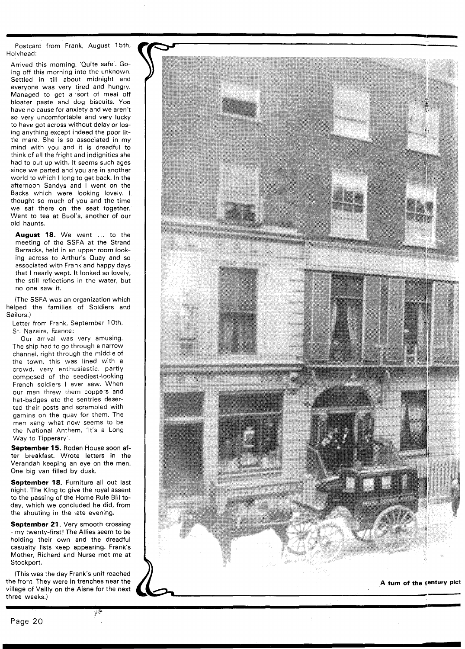Postcard from Frank, August 15th, Holyhead:

Arrived this morning. 'Quite safe'. Going off this morning into the unknown. Settled in till about midnight and everyone was very tired and hungry. Managed to get a sort of meal off bloater paste and dog biscuits. You have no cause for anxiety and we aren't so very uncomfortable and very lucky to have got across without delay or losing anything except indeed the poor little mare. She is so associated in my mind with you and it is dreadful to think of all the fright and indignities she had to put up with. It seems such ages since we parted and you are in another world to which I long to get back. In the afternoon Sandys and I went on the Backs which were looking lovely. I thought so much of you and the time we sat there on the seat together. Went to tea at Buol's, another of our old haunts.

August 18. We went ... to the meeting of the SSFA at the Strand Barracks, held in an upper room looking across to Arthur's Quay and so associated with Frank and happy days that I nearly wept. It looked so lovely, the still reflections in the water, but no one saw it.

(The SSFA was an organization which helped the families of Soldiers and Sailors.)

Letter from Frank, September 1 Oth, St. Nazaire, France:

Our arrival was very amusing. The ship had to go through a narrow channel, right through the middle of the town, this was lined with a crowd, very enthusiastic, partly composed of the seediest-looking French soldiers I ever saw. When our men threw them coppers and hat-badges etc the sentries deserted their posts and scrambled with gamins on the quay for them. The men sang what now seems to be the National Anthem, 'It's a Long Way to Tipperary'.

**September 15.** Roden House soon after breakfast. Wrote letters in the Verandah keeping an eye on the men. One big van filled by dusk.

September 18. Furniture all out last night. The Klng to give the royal assent to the passing of the Home Rule Bill today, which we concluded he did, from the shouting in the late evening.

**September 21.** Very smooth crossing - my twenty-first! The Allies seem to be holding their own and the dreadful casualty lists keep appearing. Frank's Mother, Richard and Nurse met me at Stockport.

(This was the dav Frank's unit reached the front. They were in trenches near the village of Vailly on the Aisne for the next three weeks.)



r' **Lb**